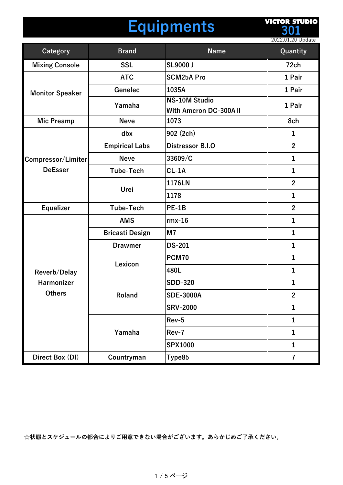## **Equipments**

**VICTOR STUDIO 301**

|                           |                        |                                                | 2022.01.20 Update       |
|---------------------------|------------------------|------------------------------------------------|-------------------------|
| <b>Category</b>           | <b>Brand</b>           | <b>Name</b>                                    | Quantity                |
| <b>Mixing Console</b>     | <b>SSL</b>             | <b>SL9000 J</b>                                | 72ch                    |
| <b>Monitor Speaker</b>    | <b>ATC</b>             | <b>SCM25A Pro</b>                              | 1 Pair                  |
|                           | Genelec                | 1035A                                          | 1 Pair                  |
|                           | Yamaha                 | <b>NS-10M Studio</b><br>With Amcron DC-300A II | 1 Pair                  |
| <b>Mic Preamp</b>         | <b>Neve</b>            | 1073                                           | 8ch                     |
|                           | dbx                    | 902 (2ch)                                      | $\mathbf{1}$            |
|                           | <b>Empirical Labs</b>  | <b>Distressor B.I.O</b>                        | $\overline{2}$          |
| <b>Compressor/Limiter</b> | <b>Neve</b>            | 33609/C                                        | $\mathbf{1}$            |
| <b>DeEsser</b>            | <b>Tube-Tech</b>       | $CL-1A$                                        | $\mathbf{1}$            |
|                           |                        | 1176LN                                         | $\overline{2}$          |
|                           | Urei                   | 1178                                           | $\mathbf{1}$            |
| <b>Equalizer</b>          | <b>Tube-Tech</b>       | $PE-1B$                                        | $\overline{2}$          |
|                           | <b>AMS</b>             | $rmx-16$                                       | $\mathbf{1}$            |
|                           | <b>Bricasti Design</b> | M <sub>7</sub>                                 | $\mathbf{1}$            |
|                           | <b>Drawmer</b>         | <b>DS-201</b>                                  | $\mathbf{1}$            |
|                           | Lexicon                | <b>PCM70</b>                                   | $\mathbf{1}$            |
| Reverb/Delay              |                        | 480L                                           | $\mathbf{1}$            |
| Harmonizer                | Roland                 | <b>SDD-320</b>                                 | $\mathbf{1}$            |
| <b>Others</b>             |                        | <b>SDE-3000A</b>                               | $\mathbf{2}$            |
|                           |                        | <b>SRV-2000</b>                                | $\mathbf{1}$            |
|                           | Yamaha                 | Rev-5                                          | $\mathbf{1}$            |
|                           |                        | Rev-7                                          | $\mathbf{1}$            |
|                           |                        | <b>SPX1000</b>                                 | $\mathbf{1}$            |
| Direct Box (DI)           | Countryman             | Type85                                         | $\overline{\mathbf{7}}$ |

**☆状態とスケジュールの都合によりご⽤意できない場合がございます。あらかじめご了承ください。**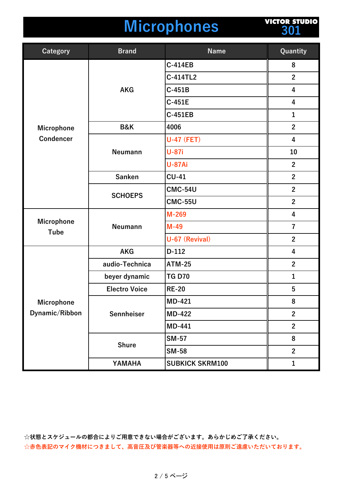### **Microphones**

**VICTOR STUDIO 301**

| <b>Category</b>              | <b>Brand</b>         | <b>Name</b>            | Quantity                |
|------------------------------|----------------------|------------------------|-------------------------|
|                              | <b>AKG</b>           | <b>C-414EB</b>         | 8                       |
|                              |                      | C-414TL2               | $\overline{2}$          |
|                              |                      | $C-451B$               | 4                       |
|                              |                      | $C-451E$               | $\overline{\mathbf{4}}$ |
|                              |                      | <b>C-451EB</b>         | $\mathbf{1}$            |
| Microphone                   | <b>B&amp;K</b>       | 4006                   | $\overline{2}$          |
| <b>Condencer</b>             | <b>Neumann</b>       | <b>U-47 (FET)</b>      | $\overline{\mathbf{4}}$ |
|                              |                      | <b>U-87i</b>           | 10                      |
|                              |                      | <b>U-87Ai</b>          | $\overline{2}$          |
|                              | <b>Sanken</b>        | $CU-41$                | $\overline{2}$          |
|                              |                      | <b>CMC-54U</b>         | $\overline{2}$          |
|                              | <b>SCHOEPS</b>       | <b>CMC-55U</b>         | $\overline{2}$          |
| Microphone<br><b>Tube</b>    | Neumann              | M-269                  | 4                       |
|                              |                      | $M-49$                 | $\overline{7}$          |
|                              |                      | U-67 (Revival)         | $\mathbf{2}$            |
|                              | <b>AKG</b>           | $D-112$                | 4                       |
| Microphone<br>Dynamic/Ribbon | audio-Technica       | <b>ATM-25</b>          | $\mathbf{2}$            |
|                              | beyer dynamic        | <b>TG D70</b>          | $\mathbf{1}$            |
|                              | <b>Electro Voice</b> | <b>RE-20</b>           | $5\phantom{1}$          |
|                              | Sennheiser           | <b>MD-421</b>          | 8                       |
|                              |                      | <b>MD-422</b>          | $\overline{2}$          |
|                              |                      | MD-441                 | $\overline{2}$          |
|                              | <b>Shure</b>         | <b>SM-57</b>           | 8                       |
|                              |                      | <b>SM-58</b>           | $\overline{2}$          |
|                              | YAMAHA               | <b>SUBKICK SKRM100</b> | $\mathbf{1}$            |

**☆状態とスケジュールの都合によりご⽤意できない場合がございます。あらかじめご了承ください。** ☆赤色表記のマイク機材につきまして、高音圧及び管楽器等への近接使用は原則ご遠慮いただいております。

#### 2 / 5 ページ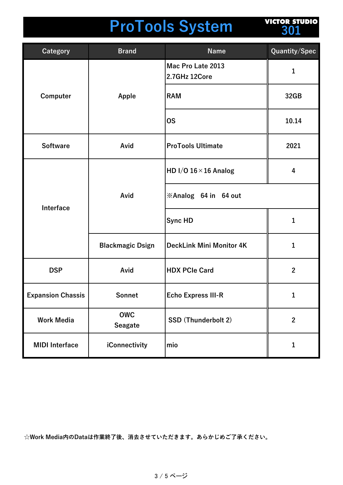# **ProTools System**

**VICTOR STUDIO 301**

| <b>Category</b>          | <b>Brand</b>                 | <b>Name</b>                        | Quantity/Spec  |
|--------------------------|------------------------------|------------------------------------|----------------|
| Computer                 | Apple                        | Mac Pro Late 2013<br>2.7GHz 12Core | 1              |
|                          |                              | <b>RAM</b>                         | 32GB           |
|                          |                              | <b>OS</b>                          | 10.14          |
| <b>Software</b>          | Avid                         | <b>ProTools Ultimate</b>           | 2021           |
| Interface                | Avid                         | HD I/O $16 \times 16$ Analog       | 4              |
|                          |                              | *Analog 64 in 64 out               |                |
|                          |                              | <b>Sync HD</b>                     | 1              |
|                          | <b>Blackmagic Dsign</b>      | <b>DeckLink Mini Monitor 4K</b>    | $\mathbf{1}$   |
| <b>DSP</b>               | Avid                         | <b>HDX PCIe Card</b>               | $\mathbf{2}$   |
| <b>Expansion Chassis</b> | Sonnet                       | <b>Echo Express III-R</b>          | 1              |
| <b>Work Media</b>        | <b>OWC</b><br><b>Seagate</b> | <b>SSD (Thunderbolt 2)</b>         | $\overline{2}$ |
| <b>MIDI</b> Interface    | iConnectivity                | mio                                | 1              |

**☆Work Media内のDataは作業終了後、消去させていただきます。あらかじめご了承ください。**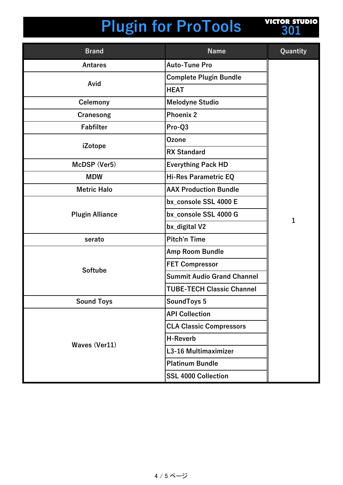# **Plugin for ProTools**



| <b>Brand</b>           | <b>Name</b>                       | Quantity     |
|------------------------|-----------------------------------|--------------|
| <b>Antares</b>         | <b>Auto-Tune Pro</b>              |              |
|                        | <b>Complete Plugin Bundle</b>     |              |
| Avid                   | <b>HEAT</b>                       |              |
| <b>Celemony</b>        | <b>Melodyne Studio</b>            |              |
| Cranesong              | <b>Phoenix 2</b>                  |              |
| <b>Fabfilter</b>       | Pro-Q3                            |              |
|                        | <b>Ozone</b>                      |              |
| iZotope                | <b>RX Standard</b>                |              |
| McDSP (Ver5)           | <b>Everything Pack HD</b>         |              |
| <b>MDW</b>             | <b>Hi-Res Parametric EQ</b>       |              |
| <b>Metric Halo</b>     | <b>AAX Production Bundle</b>      |              |
|                        | bx console SSL 4000 E             | $\mathbf{1}$ |
| <b>Plugin Alliance</b> | bx_console SSL 4000 G             |              |
|                        | bx_digital V2                     |              |
| serato                 | <b>Pitch'n Time</b>               |              |
|                        | Amp Room Bundle                   |              |
|                        | <b>FET Compressor</b>             |              |
| <b>Softube</b>         | <b>Summit Audio Grand Channel</b> |              |
|                        | <b>TUBE-TECH Classic Channel</b>  |              |
| <b>Sound Toys</b>      | SoundToys 5                       |              |
|                        | <b>API Collection</b>             |              |
|                        | <b>CLA Classic Compressors</b>    |              |
| <b>Waves (Ver11)</b>   | <b>H-Reverb</b>                   |              |
|                        | L3-16 Multimaximizer              |              |
|                        | <b>Platinum Bundle</b>            |              |
|                        | <b>SSL 4000 Collection</b>        |              |